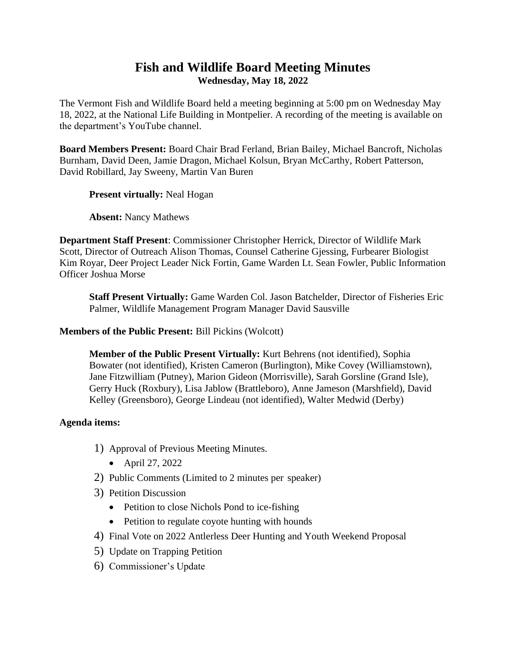# **Fish and Wildlife Board Meeting Minutes Wednesday, May 18, 2022**

The Vermont Fish and Wildlife Board held a meeting beginning at 5:00 pm on Wednesday May 18, 2022, at the National Life Building in Montpelier. A recording of the meeting is available on the department's YouTube channel.

**Board Members Present:** Board Chair Brad Ferland, Brian Bailey, Michael Bancroft, Nicholas Burnham, David Deen, Jamie Dragon, Michael Kolsun, Bryan McCarthy, Robert Patterson, David Robillard, Jay Sweeny, Martin Van Buren

**Present virtually:** Neal Hogan

**Absent:** Nancy Mathews

**Department Staff Present**: Commissioner Christopher Herrick, Director of Wildlife Mark Scott, Director of Outreach Alison Thomas, Counsel Catherine Gjessing, Furbearer Biologist Kim Royar, Deer Project Leader Nick Fortin, Game Warden Lt. Sean Fowler, Public Information Officer Joshua Morse

**Staff Present Virtually:** Game Warden Col. Jason Batchelder, Director of Fisheries Eric Palmer, Wildlife Management Program Manager David Sausville

**Members of the Public Present:** Bill Pickins (Wolcott)

**Member of the Public Present Virtually:** Kurt Behrens (not identified), Sophia Bowater (not identified), Kristen Cameron (Burlington), Mike Covey (Williamstown), Jane Fitzwilliam (Putney), Marion Gideon (Morrisville), Sarah Gorsline (Grand Isle), Gerry Huck (Roxbury), Lisa Jablow (Brattleboro), Anne Jameson (Marshfield), David Kelley (Greensboro), George Lindeau (not identified), Walter Medwid (Derby)

## **Agenda items:**

- 1) Approval of Previous Meeting Minutes.
	- April 27, 2022
- 2) Public Comments (Limited to 2 minutes per speaker)
- 3) Petition Discussion
	- Petition to close Nichols Pond to ice-fishing
	- Petition to regulate coyote hunting with hounds
- 4) Final Vote on 2022 Antlerless Deer Hunting and Youth Weekend Proposal
- 5) Update on Trapping Petition
- 6) Commissioner's Update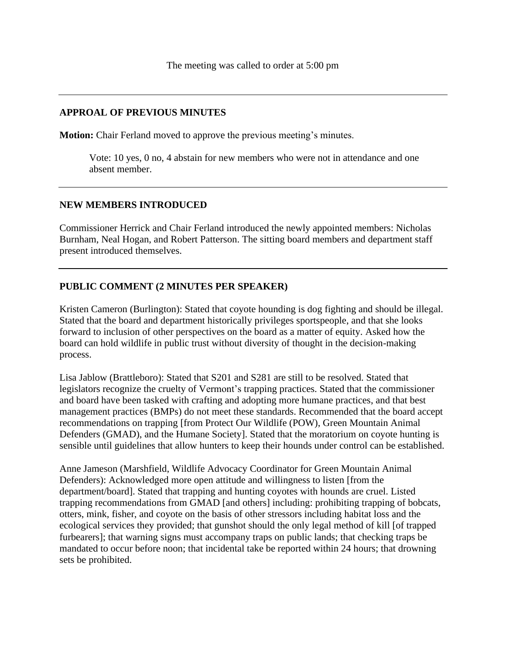## **APPROAL OF PREVIOUS MINUTES**

**Motion:** Chair Ferland moved to approve the previous meeting's minutes.

Vote: 10 yes, 0 no, 4 abstain for new members who were not in attendance and one absent member.

## **NEW MEMBERS INTRODUCED**

Commissioner Herrick and Chair Ferland introduced the newly appointed members: Nicholas Burnham, Neal Hogan, and Robert Patterson. The sitting board members and department staff present introduced themselves.

## **PUBLIC COMMENT (2 MINUTES PER SPEAKER)**

Kristen Cameron (Burlington): Stated that coyote hounding is dog fighting and should be illegal. Stated that the board and department historically privileges sportspeople, and that she looks forward to inclusion of other perspectives on the board as a matter of equity. Asked how the board can hold wildlife in public trust without diversity of thought in the decision-making process.

Lisa Jablow (Brattleboro): Stated that S201 and S281 are still to be resolved. Stated that legislators recognize the cruelty of Vermont's trapping practices. Stated that the commissioner and board have been tasked with crafting and adopting more humane practices, and that best management practices (BMPs) do not meet these standards. Recommended that the board accept recommendations on trapping [from Protect Our Wildlife (POW), Green Mountain Animal Defenders (GMAD), and the Humane Society]. Stated that the moratorium on coyote hunting is sensible until guidelines that allow hunters to keep their hounds under control can be established.

Anne Jameson (Marshfield, Wildlife Advocacy Coordinator for Green Mountain Animal Defenders): Acknowledged more open attitude and willingness to listen [from the department/board]. Stated that trapping and hunting coyotes with hounds are cruel. Listed trapping recommendations from GMAD [and others] including: prohibiting trapping of bobcats, otters, mink, fisher, and coyote on the basis of other stressors including habitat loss and the ecological services they provided; that gunshot should the only legal method of kill [of trapped furbearers]; that warning signs must accompany traps on public lands; that checking traps be mandated to occur before noon; that incidental take be reported within 24 hours; that drowning sets be prohibited.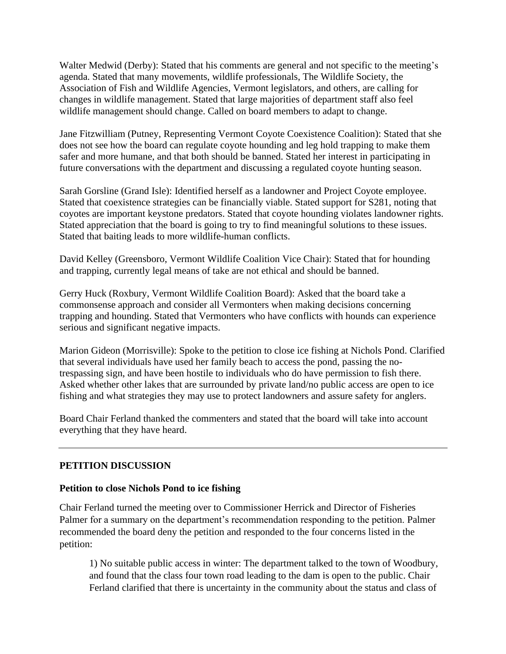Walter Medwid (Derby): Stated that his comments are general and not specific to the meeting's agenda. Stated that many movements, wildlife professionals, The Wildlife Society, the Association of Fish and Wildlife Agencies, Vermont legislators, and others, are calling for changes in wildlife management. Stated that large majorities of department staff also feel wildlife management should change. Called on board members to adapt to change.

Jane Fitzwilliam (Putney, Representing Vermont Coyote Coexistence Coalition): Stated that she does not see how the board can regulate coyote hounding and leg hold trapping to make them safer and more humane, and that both should be banned. Stated her interest in participating in future conversations with the department and discussing a regulated coyote hunting season.

Sarah Gorsline (Grand Isle): Identified herself as a landowner and Project Coyote employee. Stated that coexistence strategies can be financially viable. Stated support for S281, noting that coyotes are important keystone predators. Stated that coyote hounding violates landowner rights. Stated appreciation that the board is going to try to find meaningful solutions to these issues. Stated that baiting leads to more wildlife-human conflicts.

David Kelley (Greensboro, Vermont Wildlife Coalition Vice Chair): Stated that for hounding and trapping, currently legal means of take are not ethical and should be banned.

Gerry Huck (Roxbury, Vermont Wildlife Coalition Board): Asked that the board take a commonsense approach and consider all Vermonters when making decisions concerning trapping and hounding. Stated that Vermonters who have conflicts with hounds can experience serious and significant negative impacts.

Marion Gideon (Morrisville): Spoke to the petition to close ice fishing at Nichols Pond. Clarified that several individuals have used her family beach to access the pond, passing the notrespassing sign, and have been hostile to individuals who do have permission to fish there. Asked whether other lakes that are surrounded by private land/no public access are open to ice fishing and what strategies they may use to protect landowners and assure safety for anglers.

Board Chair Ferland thanked the commenters and stated that the board will take into account everything that they have heard.

## **PETITION DISCUSSION**

## **Petition to close Nichols Pond to ice fishing**

Chair Ferland turned the meeting over to Commissioner Herrick and Director of Fisheries Palmer for a summary on the department's recommendation responding to the petition. Palmer recommended the board deny the petition and responded to the four concerns listed in the petition:

1) No suitable public access in winter: The department talked to the town of Woodbury, and found that the class four town road leading to the dam is open to the public. Chair Ferland clarified that there is uncertainty in the community about the status and class of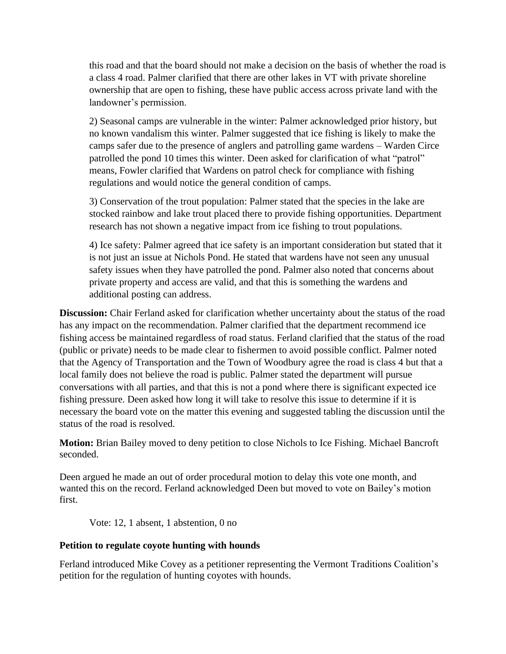this road and that the board should not make a decision on the basis of whether the road is a class 4 road. Palmer clarified that there are other lakes in VT with private shoreline ownership that are open to fishing, these have public access across private land with the landowner's permission.

2) Seasonal camps are vulnerable in the winter: Palmer acknowledged prior history, but no known vandalism this winter. Palmer suggested that ice fishing is likely to make the camps safer due to the presence of anglers and patrolling game wardens – Warden Circe patrolled the pond 10 times this winter. Deen asked for clarification of what "patrol" means, Fowler clarified that Wardens on patrol check for compliance with fishing regulations and would notice the general condition of camps.

3) Conservation of the trout population: Palmer stated that the species in the lake are stocked rainbow and lake trout placed there to provide fishing opportunities. Department research has not shown a negative impact from ice fishing to trout populations.

4) Ice safety: Palmer agreed that ice safety is an important consideration but stated that it is not just an issue at Nichols Pond. He stated that wardens have not seen any unusual safety issues when they have patrolled the pond. Palmer also noted that concerns about private property and access are valid, and that this is something the wardens and additional posting can address.

**Discussion:** Chair Ferland asked for clarification whether uncertainty about the status of the road has any impact on the recommendation. Palmer clarified that the department recommend ice fishing access be maintained regardless of road status. Ferland clarified that the status of the road (public or private) needs to be made clear to fishermen to avoid possible conflict. Palmer noted that the Agency of Transportation and the Town of Woodbury agree the road is class 4 but that a local family does not believe the road is public. Palmer stated the department will pursue conversations with all parties, and that this is not a pond where there is significant expected ice fishing pressure. Deen asked how long it will take to resolve this issue to determine if it is necessary the board vote on the matter this evening and suggested tabling the discussion until the status of the road is resolved.

**Motion:** Brian Bailey moved to deny petition to close Nichols to Ice Fishing. Michael Bancroft seconded.

Deen argued he made an out of order procedural motion to delay this vote one month, and wanted this on the record. Ferland acknowledged Deen but moved to vote on Bailey's motion first.

Vote: 12, 1 absent, 1 abstention, 0 no

#### **Petition to regulate coyote hunting with hounds**

Ferland introduced Mike Covey as a petitioner representing the Vermont Traditions Coalition's petition for the regulation of hunting coyotes with hounds.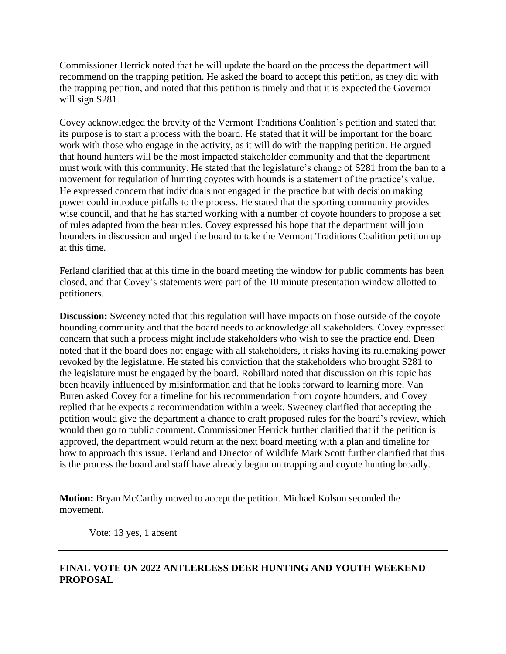Commissioner Herrick noted that he will update the board on the process the department will recommend on the trapping petition. He asked the board to accept this petition, as they did with the trapping petition, and noted that this petition is timely and that it is expected the Governor will sign S281.

Covey acknowledged the brevity of the Vermont Traditions Coalition's petition and stated that its purpose is to start a process with the board. He stated that it will be important for the board work with those who engage in the activity, as it will do with the trapping petition. He argued that hound hunters will be the most impacted stakeholder community and that the department must work with this community. He stated that the legislature's change of S281 from the ban to a movement for regulation of hunting coyotes with hounds is a statement of the practice's value. He expressed concern that individuals not engaged in the practice but with decision making power could introduce pitfalls to the process. He stated that the sporting community provides wise council, and that he has started working with a number of coyote hounders to propose a set of rules adapted from the bear rules. Covey expressed his hope that the department will join hounders in discussion and urged the board to take the Vermont Traditions Coalition petition up at this time.

Ferland clarified that at this time in the board meeting the window for public comments has been closed, and that Covey's statements were part of the 10 minute presentation window allotted to petitioners.

**Discussion:** Sweeney noted that this regulation will have impacts on those outside of the coyote hounding community and that the board needs to acknowledge all stakeholders. Covey expressed concern that such a process might include stakeholders who wish to see the practice end. Deen noted that if the board does not engage with all stakeholders, it risks having its rulemaking power revoked by the legislature. He stated his conviction that the stakeholders who brought S281 to the legislature must be engaged by the board. Robillard noted that discussion on this topic has been heavily influenced by misinformation and that he looks forward to learning more. Van Buren asked Covey for a timeline for his recommendation from coyote hounders, and Covey replied that he expects a recommendation within a week. Sweeney clarified that accepting the petition would give the department a chance to craft proposed rules for the board's review, which would then go to public comment. Commissioner Herrick further clarified that if the petition is approved, the department would return at the next board meeting with a plan and timeline for how to approach this issue. Ferland and Director of Wildlife Mark Scott further clarified that this is the process the board and staff have already begun on trapping and coyote hunting broadly.

**Motion:** Bryan McCarthy moved to accept the petition. Michael Kolsun seconded the movement.

Vote: 13 yes, 1 absent

## **FINAL VOTE ON 2022 ANTLERLESS DEER HUNTING AND YOUTH WEEKEND PROPOSAL**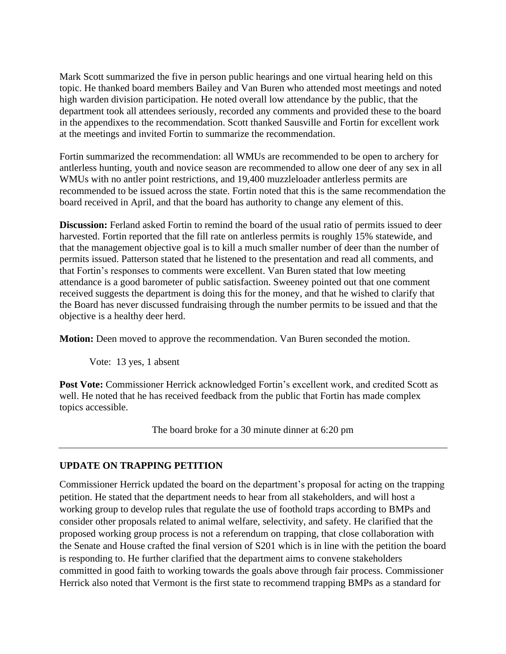Mark Scott summarized the five in person public hearings and one virtual hearing held on this topic. He thanked board members Bailey and Van Buren who attended most meetings and noted high warden division participation. He noted overall low attendance by the public, that the department took all attendees seriously, recorded any comments and provided these to the board in the appendixes to the recommendation. Scott thanked Sausville and Fortin for excellent work at the meetings and invited Fortin to summarize the recommendation.

Fortin summarized the recommendation: all WMUs are recommended to be open to archery for antlerless hunting, youth and novice season are recommended to allow one deer of any sex in all WMUs with no antler point restrictions, and 19,400 muzzleloader antlerless permits are recommended to be issued across the state. Fortin noted that this is the same recommendation the board received in April, and that the board has authority to change any element of this.

**Discussion:** Ferland asked Fortin to remind the board of the usual ratio of permits issued to deer harvested. Fortin reported that the fill rate on antlerless permits is roughly 15% statewide, and that the management objective goal is to kill a much smaller number of deer than the number of permits issued. Patterson stated that he listened to the presentation and read all comments, and that Fortin's responses to comments were excellent. Van Buren stated that low meeting attendance is a good barometer of public satisfaction. Sweeney pointed out that one comment received suggests the department is doing this for the money, and that he wished to clarify that the Board has never discussed fundraising through the number permits to be issued and that the objective is a healthy deer herd.

**Motion:** Deen moved to approve the recommendation. Van Buren seconded the motion.

Vote: 13 yes, 1 absent

**Post Vote:** Commissioner Herrick acknowledged Fortin's excellent work, and credited Scott as well. He noted that he has received feedback from the public that Fortin has made complex topics accessible.

The board broke for a 30 minute dinner at 6:20 pm

## **UPDATE ON TRAPPING PETITION**

Commissioner Herrick updated the board on the department's proposal for acting on the trapping petition. He stated that the department needs to hear from all stakeholders, and will host a working group to develop rules that regulate the use of foothold traps according to BMPs and consider other proposals related to animal welfare, selectivity, and safety. He clarified that the proposed working group process is not a referendum on trapping, that close collaboration with the Senate and House crafted the final version of S201 which is in line with the petition the board is responding to. He further clarified that the department aims to convene stakeholders committed in good faith to working towards the goals above through fair process. Commissioner Herrick also noted that Vermont is the first state to recommend trapping BMPs as a standard for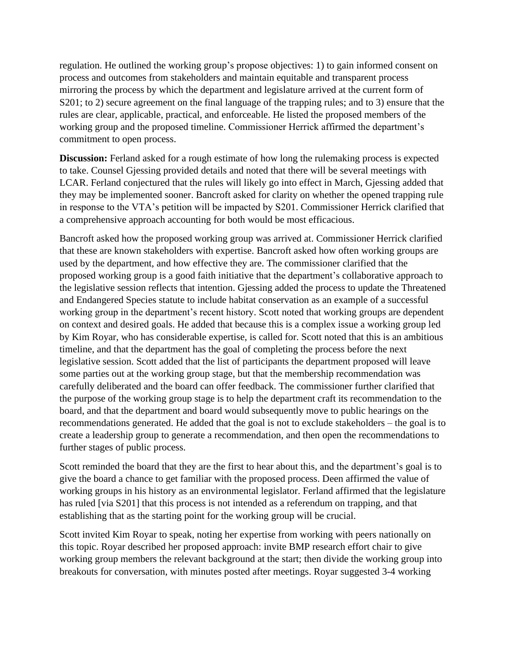regulation. He outlined the working group's propose objectives: 1) to gain informed consent on process and outcomes from stakeholders and maintain equitable and transparent process mirroring the process by which the department and legislature arrived at the current form of S201; to 2) secure agreement on the final language of the trapping rules; and to 3) ensure that the rules are clear, applicable, practical, and enforceable. He listed the proposed members of the working group and the proposed timeline. Commissioner Herrick affirmed the department's commitment to open process.

**Discussion:** Ferland asked for a rough estimate of how long the rulemaking process is expected to take. Counsel Gjessing provided details and noted that there will be several meetings with LCAR. Ferland conjectured that the rules will likely go into effect in March, Gjessing added that they may be implemented sooner. Bancroft asked for clarity on whether the opened trapping rule in response to the VTA's petition will be impacted by S201. Commissioner Herrick clarified that a comprehensive approach accounting for both would be most efficacious.

Bancroft asked how the proposed working group was arrived at. Commissioner Herrick clarified that these are known stakeholders with expertise. Bancroft asked how often working groups are used by the department, and how effective they are. The commissioner clarified that the proposed working group is a good faith initiative that the department's collaborative approach to the legislative session reflects that intention. Gjessing added the process to update the Threatened and Endangered Species statute to include habitat conservation as an example of a successful working group in the department's recent history. Scott noted that working groups are dependent on context and desired goals. He added that because this is a complex issue a working group led by Kim Royar, who has considerable expertise, is called for. Scott noted that this is an ambitious timeline, and that the department has the goal of completing the process before the next legislative session. Scott added that the list of participants the department proposed will leave some parties out at the working group stage, but that the membership recommendation was carefully deliberated and the board can offer feedback. The commissioner further clarified that the purpose of the working group stage is to help the department craft its recommendation to the board, and that the department and board would subsequently move to public hearings on the recommendations generated. He added that the goal is not to exclude stakeholders – the goal is to create a leadership group to generate a recommendation, and then open the recommendations to further stages of public process.

Scott reminded the board that they are the first to hear about this, and the department's goal is to give the board a chance to get familiar with the proposed process. Deen affirmed the value of working groups in his history as an environmental legislator. Ferland affirmed that the legislature has ruled [via S201] that this process is not intended as a referendum on trapping, and that establishing that as the starting point for the working group will be crucial.

Scott invited Kim Royar to speak, noting her expertise from working with peers nationally on this topic. Royar described her proposed approach: invite BMP research effort chair to give working group members the relevant background at the start; then divide the working group into breakouts for conversation, with minutes posted after meetings. Royar suggested 3-4 working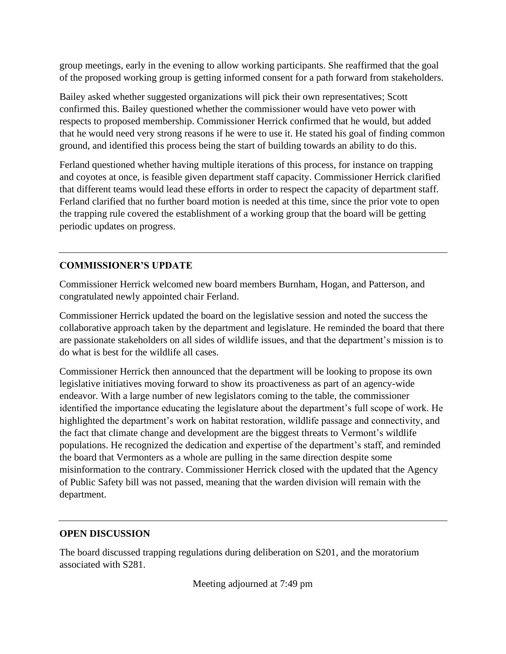group meetings, early in the evening to allow working participants. She reaffirmed that the goal of the proposed working group is getting informed consent for a path forward from stakeholders.

Bailey asked whether suggested organizations will pick their own representatives; Scott confirmed this. Bailey questioned whether the commissioner would have veto power with respects to proposed membership. Commissioner Herrick confirmed that he would, but added that he would need very strong reasons if he were to use it. He stated his goal of finding common ground, and identified this process being the start of building towards an ability to do this.

Ferland questioned whether having multiple iterations of this process, for instance on trapping and coyotes at once, is feasible given department staff capacity. Commissioner Herrick clarified that different teams would lead these efforts in order to respect the capacity of department staff. Ferland clarified that no further board motion is needed at this time, since the prior vote to open the trapping rule covered the establishment of a working group that the board will be getting periodic updates on progress.

## **COMMISSIONER'S UPDATE**

Commissioner Herrick welcomed new board members Burnham, Hogan, and Patterson, and congratulated newly appointed chair Ferland.

Commissioner Herrick updated the board on the legislative session and noted the success the collaborative approach taken by the department and legislature. He reminded the board that there are passionate stakeholders on all sides of wildlife issues, and that the department's mission is to do what is best for the wildlife all cases.

Commissioner Herrick then announced that the department will be looking to propose its own legislative initiatives moving forward to show its proactiveness as part of an agency-wide endeavor. With a large number of new legislators coming to the table, the commissioner identified the importance educating the legislature about the department's full scope of work. He highlighted the department's work on habitat restoration, wildlife passage and connectivity, and the fact that climate change and development are the biggest threats to Vermont's wildlife populations. He recognized the dedication and expertise of the department's staff, and reminded the board that Vermonters as a whole are pulling in the same direction despite some misinformation to the contrary. Commissioner Herrick closed with the updated that the Agency of Public Safety bill was not passed, meaning that the warden division will remain with the department.

## **OPEN DISCUSSION**

The board discussed trapping regulations during deliberation on S201, and the moratorium associated with S281.

Meeting adjourned at 7:49 pm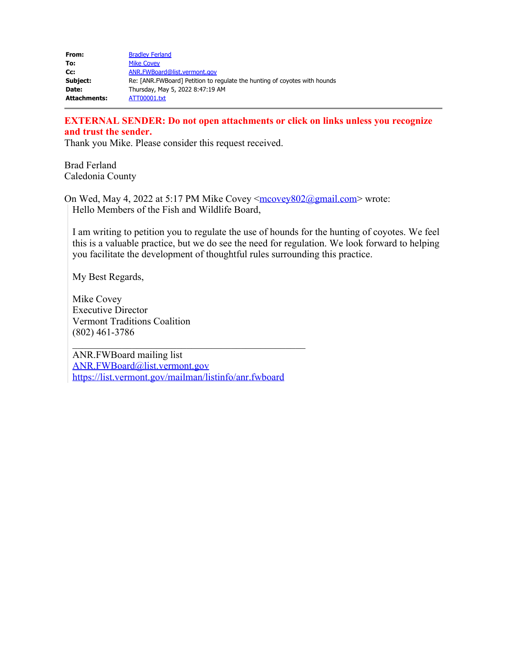| From:               | <b>Bradley Ferland</b>                                                    |
|---------------------|---------------------------------------------------------------------------|
| To:                 | <b>Mike Covey</b>                                                         |
| Cc:                 | ANR.FWBoard@list.vermont.gov                                              |
| Subject:            | Re: [ANR.FWBoard] Petition to regulate the hunting of coyotes with hounds |
| Date:               | Thursday, May 5, 2022 8:47:19 AM                                          |
| <b>Attachments:</b> | ATT00001.txt                                                              |

#### **EXTERNAL SENDER: Do not open attachments or click on links unless you recognize and trust the sender.**

Thank you Mike. Please consider this request received.

Brad Ferland Caledonia County

On Wed, May 4, 2022 at 5:17 PM Mike Covey [<mcovey802@gmail.com](mailto:mcovey802@gmail.com)> wrote: Hello Members of the Fish and Wildlife Board,

I am writing to petition you to regulate the use of hounds for the hunting of coyotes. We feel this is a valuable practice, but we do see the need for regulation. We look forward to helping you facilitate the development of thoughtful rules surrounding this practice.

My Best Regards,

Mike Covey Executive Director Vermont Traditions Coalition (802) 461-3786

ANR.FWBoard mailing list [ANR.FWBoard@list.vermont.gov](mailto:ANR.FWBoard@list.vermont.gov) <https://list.vermont.gov/mailman/listinfo/anr.fwboard>

 $\mathcal{L}_\mathcal{L}$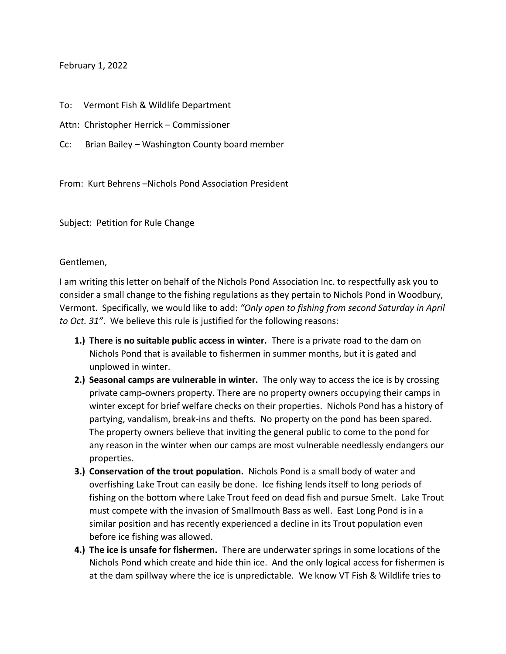#### February 1, 2022

To: Vermont Fish & Wildlife Department

Attn: Christopher Herrick – Commissioner

Cc: Brian Bailey – Washington County board member

From: Kurt Behrens –Nichols Pond Association President

Subject: Petition for Rule Change

Gentlemen,

I am writing this letter on behalf of the Nichols Pond Association Inc. to respectfully ask you to consider a small change to the fishing regulations as they pertain to Nichols Pond in Woodbury, Vermont. Specifically, we would like to add: *"Only open to fishing from second Saturday in April to Oct. 31"*. We believe this rule is justified for the following reasons:

- **1.) There is no suitable public access in winter.** There is a private road to the dam on Nichols Pond that is available to fishermen in summer months, but it is gated and unplowed in winter.
- **2.) Seasonal camps are vulnerable in winter.** The only way to access the ice is by crossing private camp-owners property. There are no property owners occupying their camps in winter except for brief welfare checks on their properties. Nichols Pond has a history of partying, vandalism, break-ins and thefts. No property on the pond has been spared. The property owners believe that inviting the general public to come to the pond for any reason in the winter when our camps are most vulnerable needlessly endangers our properties.
- **3.) Conservation of the trout population.** Nichols Pond is a small body of water and overfishing Lake Trout can easily be done. Ice fishing lends itself to long periods of fishing on the bottom where Lake Trout feed on dead fish and pursue Smelt. Lake Trout must compete with the invasion of Smallmouth Bass as well. East Long Pond is in a similar position and has recently experienced a decline in its Trout population even before ice fishing was allowed.
- **4.) The ice is unsafe for fishermen.** There are underwater springs in some locations of the Nichols Pond which create and hide thin ice. And the only logical access for fishermen is at the dam spillway where the ice is unpredictable. We know VT Fish & Wildlife tries to